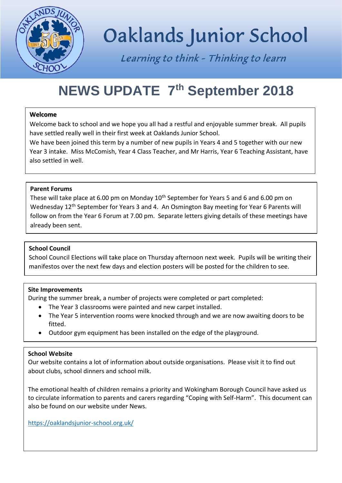

# Oaklands Junior School

Learning to think - Thinking to learn

### **NEWS UPDATE 7th September 2018**

#### **Welcome**

Welcome back to school and we hope you all had a restful and enjoyable summer break. All pupils have settled really well in their first week at Oaklands Junior School.

We have been joined this term by a number of new pupils in Years 4 and 5 together with our new Year 3 intake. Miss McComish, Year 4 Class Teacher, and Mr Harris, Year 6 Teaching Assistant, have also settled in well.

#### **Parent Forums**

These will take place at 6.00 pm on Monday 10<sup>th</sup> September for Years 5 and 6 and 6.00 pm on Wednesday 12<sup>th</sup> September for Years 3 and 4. An Osmington Bay meeting for Year 6 Parents will follow on from the Year 6 Forum at 7.00 pm. Separate letters giving details of these meetings have already been sent.

#### **School Council**

School Council Elections will take place on Thursday afternoon next week. Pupils will be writing their manifestos over the next few days and election posters will be posted for the children to see.

#### **Site Improvements**

During the summer break, a number of projects were completed or part completed:

- The Year 3 classrooms were painted and new carpet installed.
- The Year 5 intervention rooms were knocked through and we are now awaiting doors to be fitted.
- Outdoor gym equipment has been installed on the edge of the playground.

#### **School Website**

Our website contains a lot of information about outside organisations. Please visit it to find out about clubs, school dinners and school milk.

The emotional health of children remains a priority and Wokingham Borough Council have asked us to circulate information to parents and carers regarding "Coping with Self-Harm". This document can also be found on our website under News.

<https://oaklandsjunior-school.org.uk/>